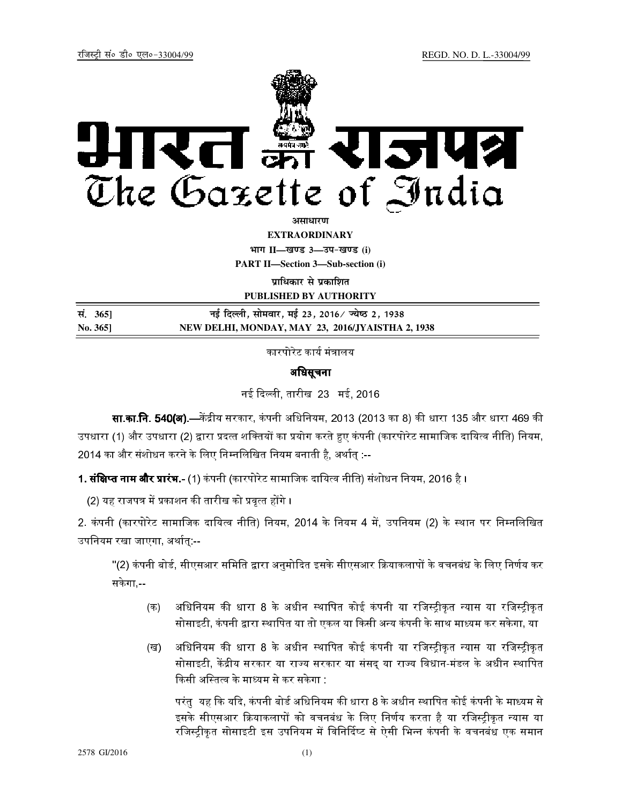

*<u>anurution*</u>

**EXTRAORDINARY**

**Hkkx II—[k.M 3—mi&[k.M (i) PART II—Section 3—Sub-section (i)** 

**पाधिकार से प्रकाशित** 

**PUBLISHED BY AUTHORITY**

| सं. 365] | नई दिल्ली, सोमवार, मई 23, 2016⁄ ज्येष्ठ 2, 1938  |
|----------|--------------------------------------------------|
| No. 3651 | NEW DELHI, MONDAY, MAY 23, 2016/JYAISTHA 2, 1938 |

कारपोरेट कार्य मंत्रालय

# अधिसूचना

नई द ली, तारीख 23 मई, 2016

सा.का.नि. 540(अ).—केंद्रीय सरकार, कंपनी अधिनियम, 2013 (2013 का 8) की धारा 135 और धारा 469 की उपधारा (1) और उपधारा (2) द्वारा प्रदत्त शक्तियों का प्रयोग करते हुए कंपनी (कारपोरेट सामाजिक दायित्व नीति) नियम, 2014 का और संशोधन करने के लिए निम्नलिखित नियम बनाती है. अर्थात :--

**1. संक्षिप्त नाम और प्रारंभ.-** (1) कंपनी (कारपोरेट सामाजिक दायित्व नीति) संशोधन नियम, 2016 है ।

(2) यह राजपत्र में प्रकाशन की तारीख को प्रवृत्त होंगे ।

2. कंपनी (कारपोरेट सामाजिक दायित्व नीति) नियम, 2014 के नियम 4 में, उपनियम (2) के स्थान पर निम्नलिखित उपनियम रखा जाएगा. अर्थात:--

"(2) कंपनी बोर्ड. सीएसआर समिति द्वारा अनमोदित इसके सीएसआर क्रियाकलापों के वचनबंध के लिए निर्णय कर सकेगा,--

- (क) अधिनियम की धारा 8 के अधीन स्थापित कोई कंपनी या रजिस्ट्रीकृत न्यास या रजिस्ट्रीकृत सोसाइटी, कंपनी द्वारा स्थापित या तो एकल या किसी अन्य कंपनी के साथ माध्यम कर सकेगा, या
- (ख) अधिनियम की धारा 8 के अधीन स्थापित कोई कंपनी या रजिस्ट्रीकृत न्यास या रजिस्ट्रीकृत सोसाइटी, केंद्रीय सरकार या राज्य सरकार या संसद् या राज्य विधान-मंडल के अधीन स्थापित किसी अस्तित्व के माध्यम से कर सकेगा :

परंत यह कि यदि, कंपनी बोर्ड अधिनियम की धारा 8 के अधीन स्थापित कोई कंपनी के माध्यम से इसके सीएसआर क्रियाकलापों को वचनबंध के लिए निर्णय करता है या रजिस्टीकत न्यास या रजिस्ट्रीकृत सोसाइटी इस उपनियम में विनिर्दिष्ट से ऐसी भिन्न कंपनी के वचनबंध एक समान